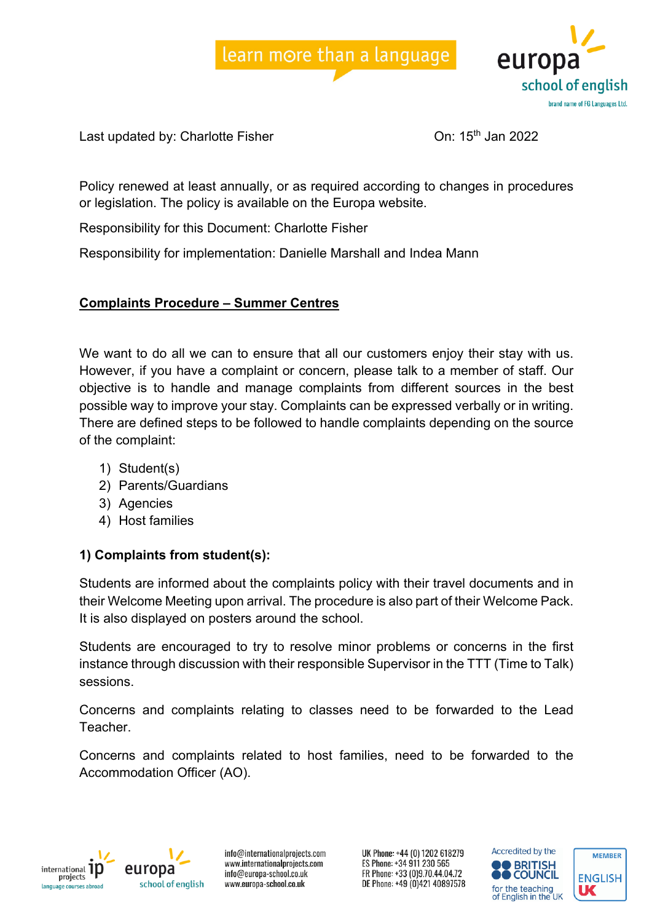



Last updated by: Charlotte Fisher Charlotte Fisher Charlotte Business Charlotte Disk Charlotte Disk Charlotte

Policy renewed at least annually, or as required according to changes in procedures or legislation. The policy is available on the Europa website.

Responsibility for this Document: Charlotte Fisher

Responsibility for implementation: Danielle Marshall and Indea Mann

## **Complaints Procedure – Summer Centres**

We want to do all we can to ensure that all our customers enjoy their stay with us. However, if you have a complaint or concern, please talk to a member of staff. Our objective is to handle and manage complaints from different sources in the best possible way to improve your stay. Complaints can be expressed verbally or in writing. There are defined steps to be followed to handle complaints depending on the source of the complaint:

- 1) Student(s)
- 2) Parents/Guardians
- 3) Agencies
- 4) Host families

## **1) Complaints from student(s):**

Students are informed about the complaints policy with their travel documents and in their Welcome Meeting upon arrival. The procedure is also part of their Welcome Pack. It is also displayed on posters around the school.

Students are encouraged to try to resolve minor problems or concerns in the first instance through discussion with their responsible Supervisor in the TTT (Time to Talk) sessions.

Concerns and complaints relating to classes need to be forwarded to the Lead Teacher.

Concerns and complaints related to host families, need to be forwarded to the Accommodation Officer (AO).





info@internationalprojects.com www.internationalprojects.com info@europa-school.co.uk www.europa-school.co.uk

UK Phone: +44 (0) 1202 618279 ES Phone: +34 911 230 565 FR Phone: +33 (0)9.70.44.04.72 DE Phone: +49 (0)421 40897578



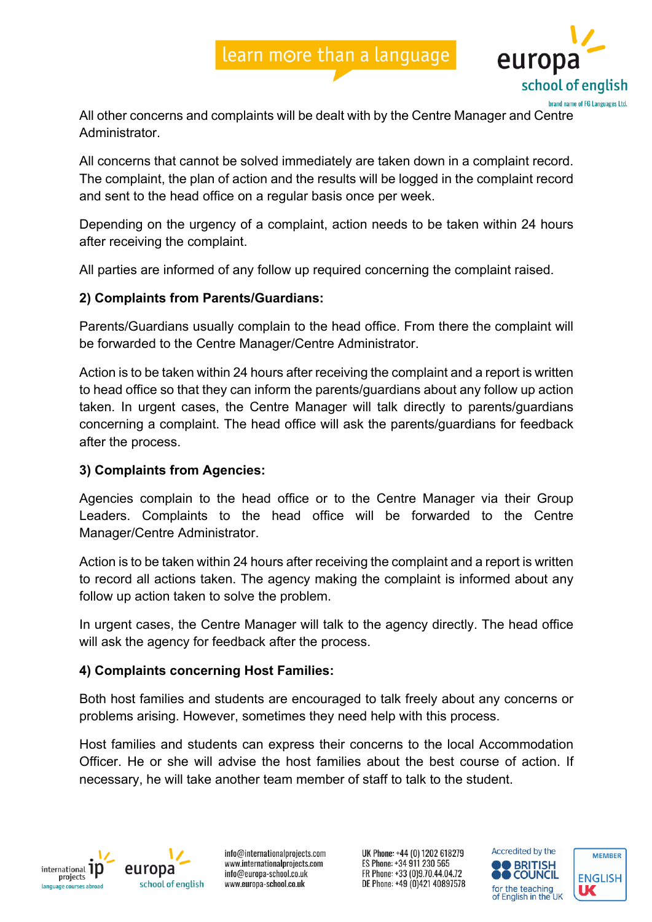# learn more than a language



All other concerns and complaints will be dealt with by the Centre Manager and Centre **Administrator** 

All concerns that cannot be solved immediately are taken down in a complaint record. The complaint, the plan of action and the results will be logged in the complaint record and sent to the head office on a regular basis once per week.

Depending on the urgency of a complaint, action needs to be taken within 24 hours after receiving the complaint.

All parties are informed of any follow up required concerning the complaint raised.

### **2) Complaints from Parents/Guardians:**

Parents/Guardians usually complain to the head office. From there the complaint will be forwarded to the Centre Manager/Centre Administrator.

Action is to be taken within 24 hours after receiving the complaint and a report is written to head office so that they can inform the parents/guardians about any follow up action taken. In urgent cases, the Centre Manager will talk directly to parents/guardians concerning a complaint. The head office will ask the parents/guardians for feedback after the process.

### **3) Complaints from Agencies:**

Agencies complain to the head office or to the Centre Manager via their Group Leaders. Complaints to the head office will be forwarded to the Centre Manager/Centre Administrator.

Action is to be taken within 24 hours after receiving the complaint and a report is written to record all actions taken. The agency making the complaint is informed about any follow up action taken to solve the problem.

In urgent cases, the Centre Manager will talk to the agency directly. The head office will ask the agency for feedback after the process.

### **4) Complaints concerning Host Families:**

Both host families and students are encouraged to talk freely about any concerns or problems arising. However, sometimes they need help with this process.

Host families and students can express their concerns to the local Accommodation Officer. He or she will advise the host families about the best course of action. If necessary, he will take another team member of staff to talk to the student.



europa school of english

info@internationalprojects.com www.internationalprojects.com info@europa-school.co.uk www.europa-school.co.uk

UK Phone: +44 (0) 1202 618279 ES Phone: +34 911 230 565 FR Phone: +33 (0)9.70.44.04.72 DE Phone: +49 (0)421 40897578



**MEMBER** 

**ENGLISH** 

UC